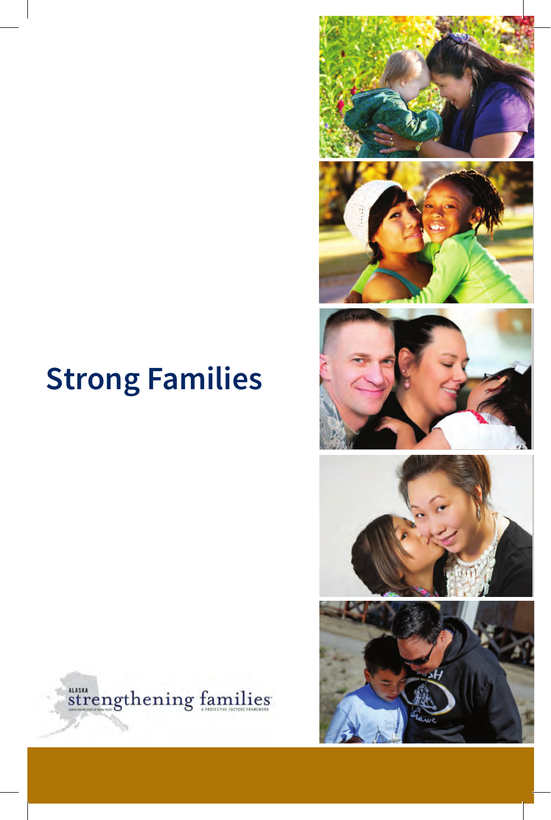# **Strong Families**







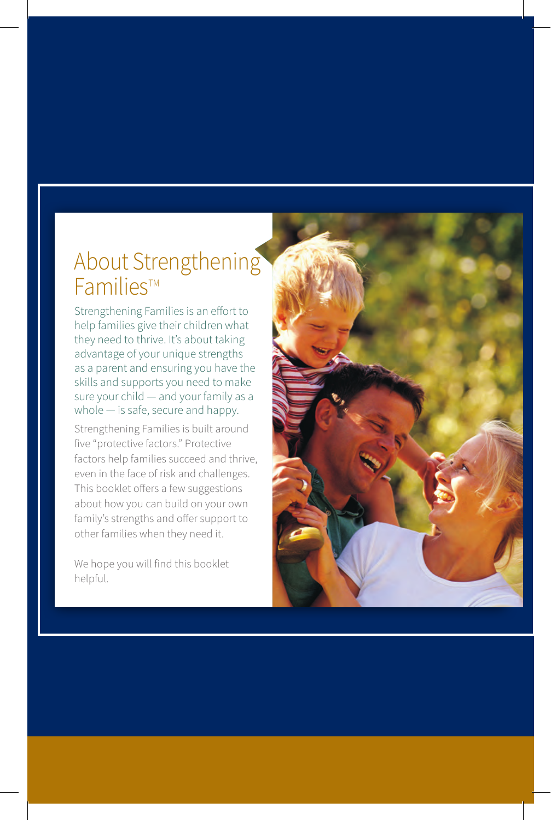# About Strengthening Families™

Strengthening Families is an effort to help families give their children what they need to thrive. It's about taking advantage of your unique strengths as a parent and ensuring you have the skills and supports you need to make sure your child — and your family as a whole — is safe, secure and happy.

Strengthening Families is built around five "protective factors." Protective factors help families succeed and thrive, even in the face of risk and challenges. This booklet offers a few suggestions about how you can build on your own family's strengths and offer support to other families when they need it.

We hope you will find this booklet helpful.

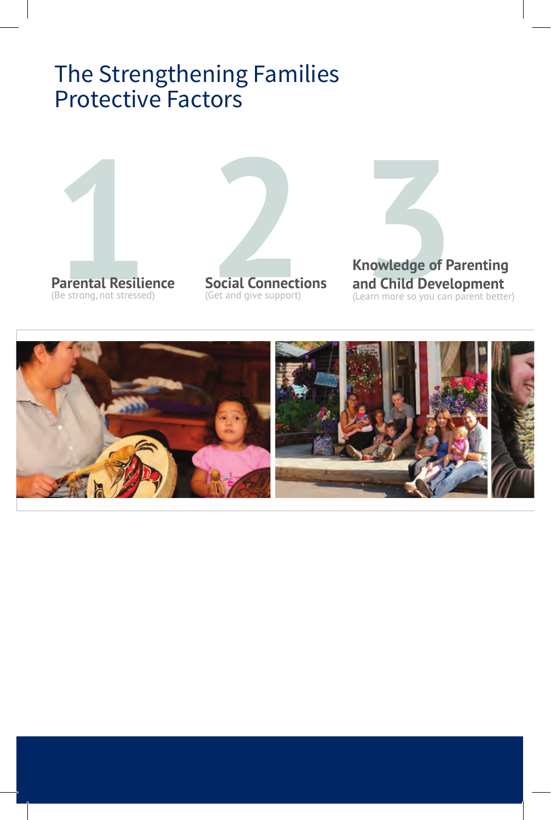### The Strengthening Families Protective Factors





(Get and give support) **Social Connections 2**

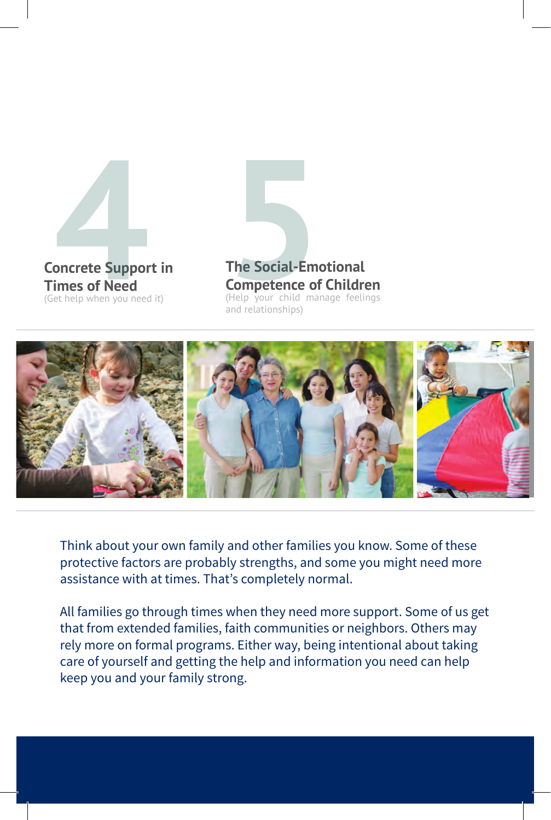

(Get help when you need it)

**The Social-Emotional Competence of Children** (Help your child manage feelings and relationships) **The Social-Emergence of**<br> **Social-Emergence of**<br> **Social And relationships** 



Think about your own family and other families you know. Some of these protective factors are probably strengths, and some you might need more assistance with at times. That's completely normal.

All families go through times when they need more support. Some of us get that from extended families, faith communities or neighbors. Others may rely more on formal programs. Either way, being intentional about taking care of yourself and getting the help and information you need can help keep you and your family strong.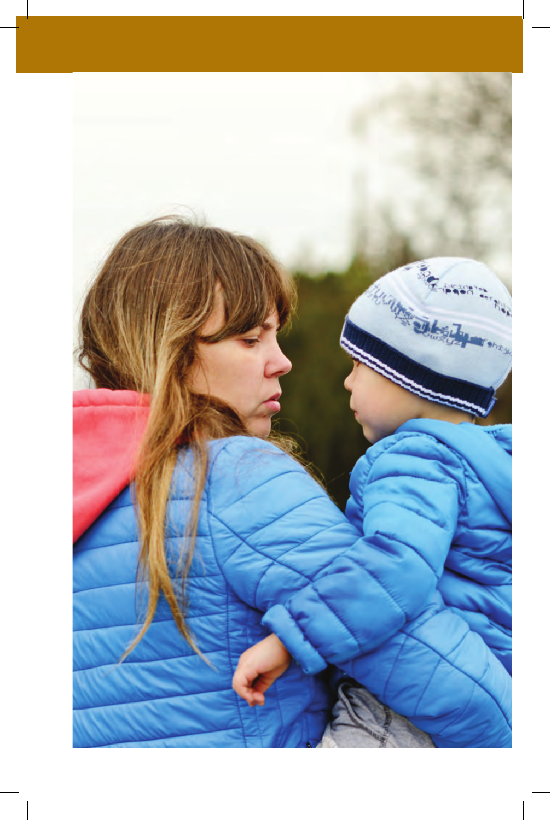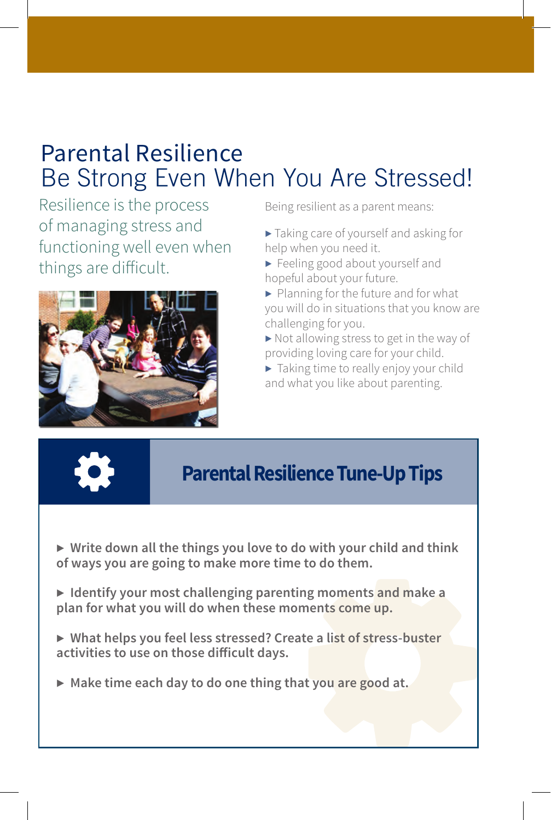# Parental Resilience Be Strong Even When You Are Stressed!

Resilience is the process of managing stress and functioning well even when things are difficult.



Being resilient as a parent means:

- ▶ Taking care of yourself and asking for help when you need it.
- ▶ Feeling good about yourself and hopeful about your future.
- ▶ Planning for the future and for what you will do in situations that you know are challenging for you.
- ▶ Not allowing stress to get in the way of providing loving care for your child.
- ▶ Taking time to really enjoy your child and what you like about parenting.



#### **Parental Resilience Tune-Up Tips**

**▶ Write down all the things you love to do with your child and think of ways you are going to make more time to do them.**

**▶ Identify your most challenging parenting moments and make a plan for what you will do when these moments come up.**

**▶ What helps you feel less stressed? Create a list of stress-buster activities to use on those difficult days.** 

**▶ Make time each day to do one thing that you are good at.**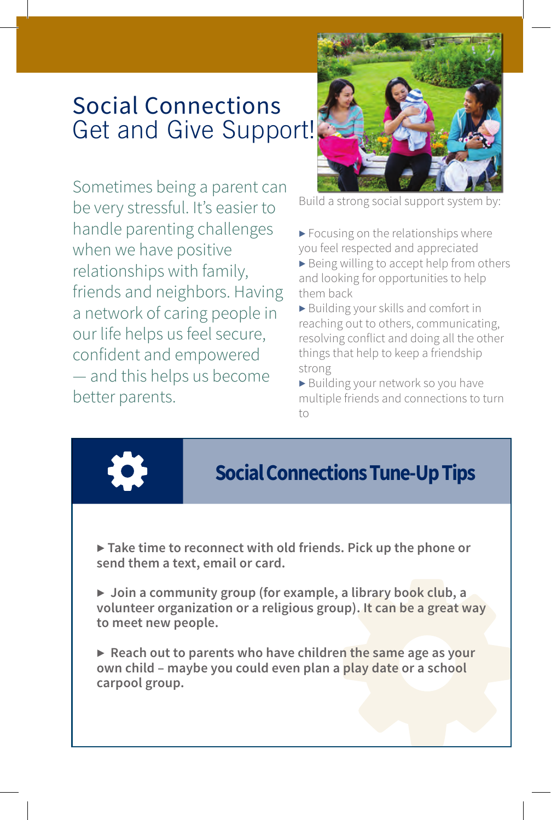# Social Connections Get and Give Support!

Sometimes being a parent can be very stressful. It's easier to handle parenting challenges when we have positive relationships with family, friends and neighbors. Having a network of caring people in our life helps us feel secure, confident and empowered — and this helps us become better parents.



Build a strong social support system by:

 $\blacktriangleright$  Focusing on the relationships where you feel respected and appreciated

▶ Being willing to accept help from others and looking for opportunities to help them back

▶ Building your skills and comfort in reaching out to others, communicating, resolving conflict and doing all the other things that help to keep a friendship strong

▶ Building your network so you have multiple friends and connections to turn to



#### **Social Connections Tune-Up Tips**

**▶ Take time to reconnect with old friends. Pick up the phone or send them a text, email or card.**

**▶ Join a community group (for example, a library book club, a volunteer organization or a religious group). It can be a great way to meet new people.**

**▶ Reach out to parents who have children the same age as your own child – maybe you could even plan a play date or a school carpool group.**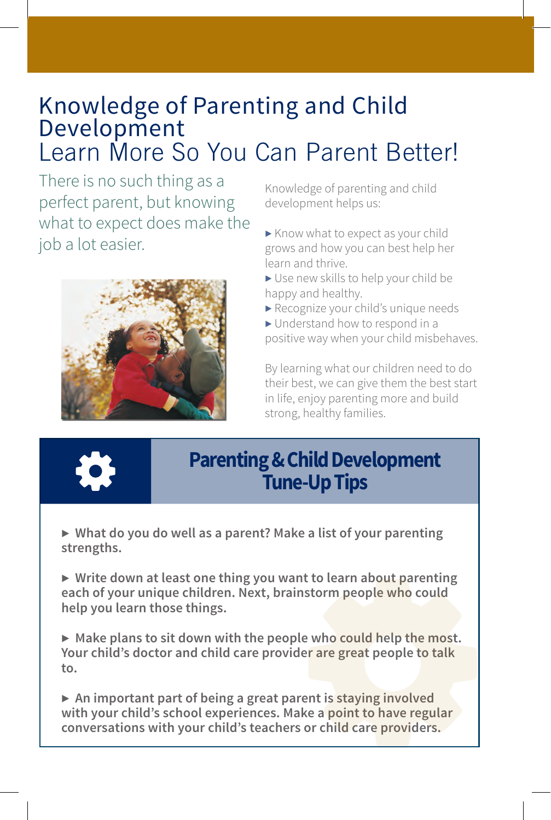#### Knowledge of Parenting and Child Development Learn More So You Can Parent Better!

There is no such thing as a perfect parent, but knowing what to expect does make the job a lot easier.



Knowledge of parenting and child development helps us:

- ▶ Know what to expect as your child grows and how you can best help her learn and thrive.
- ▶ Use new skills to help your child be happy and healthy.
- ▶ Recognize your child's unique needs
- ▶ Understand how to respond in a positive way when your child misbehaves.

By learning what our children need to do their best, we can give them the best start in life, enjoy parenting more and build strong, healthy families.



#### **Parenting & Child Development Tune-Up Tips**

**▶ What do you do well as a parent? Make a list of your parenting strengths.**

**▶ Write down at least one thing you want to learn about parenting each of your unique children. Next, brainstorm people who could help you learn those things.**

▶ Make plans to sit down with the people who could help the most. **Your child's doctor and child care provider are great people to talk to.**

**▶ An important part of being a great parent is staying involved with your child's school experiences. Make a point to have regular conversations with your child's teachers or child care providers.**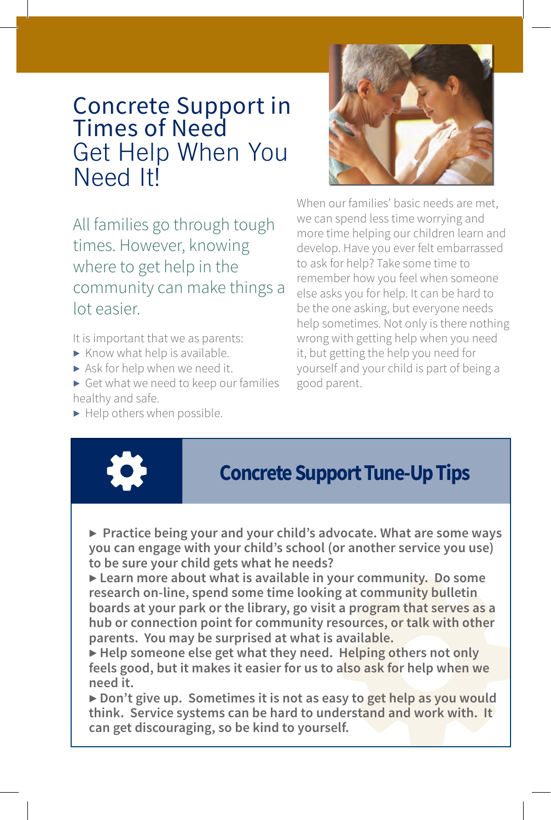#### Concrete Support in Times of Need Get Help When You Need It!

All families go through tough times. However, knowing where to get help in the community can make things a lot easier.

It is important that we as parents:

- $\blacktriangleright$  Know what help is available.
- $\triangleright$  Ask for help when we need it.
- ▶ Get what we need to keep our families healthy and safe.
- ▶ Help others when possible.



When our families' basic needs are met, we can spend less time worrying and more time helping our children learn and develop. Have you ever felt embarrassed to ask for help? Take some time to remember how you feel when someone else asks you for help. It can be hard to be the one asking, but everyone needs help sometimes. Not only is there nothing wrong with getting help when you need it, but getting the help you need for yourself and your child is part of being a good parent.



#### **Concrete Support Tune-Up Tips**

**▶ Practice being your and your child's advocate. What are some ways you can engage with your child's school (or another service you use) to be sure your child gets what he needs?** 

**▶ Learn more about what is available in your community. Do some research on-line, spend some time looking at community bulletin boards at your park or the library, go visit a program that serves as a hub or connection point for community resources, or talk with other parents. You may be surprised at what is available.** 

**▶ Help someone else get what they need. Helping others not only feels good, but it makes it easier for us to also ask for help when we need it.** 

**▶ Don't give up. Sometimes it is not as easy to get help as you would think. Service systems can be hard to understand and work with. It can get discouraging, so be kind to yourself.**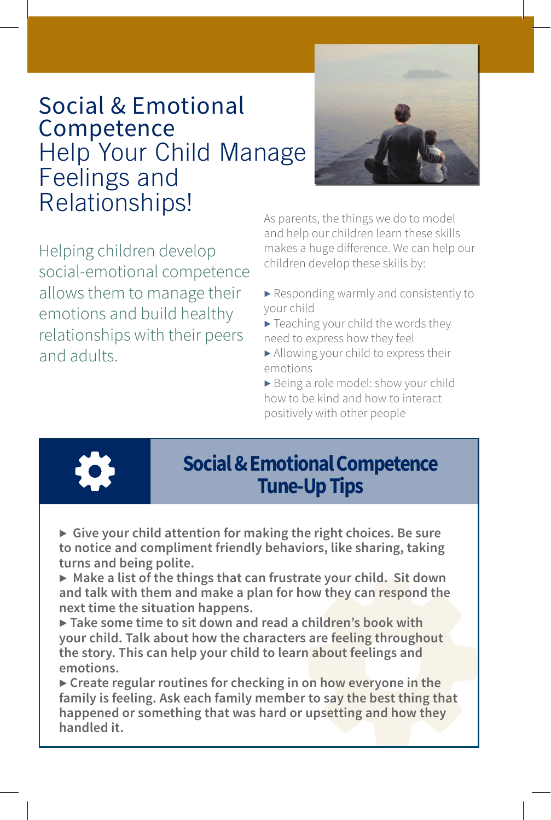### Social & Emotional Competence Help Your Child Manage Feelings and Relationships!

Helping children develop social-emotional competence allows them to manage their emotions and build healthy relationships with their peers and adults.



As parents, the things we do to model and help our children learn these skills makes a huge difference. We can help our children develop these skills by:

- ▶ Responding warmly and consistently to your child
- $\blacktriangleright$  Teaching your child the words they need to express how they feel
- ▶ Allowing your child to express their emotions
- ▶ Being a role model: show your child how to be kind and how to interact positively with other people



#### **Social & Emotional Competence Tune-Up Tips**

**▶ Give your child attention for making the right choices. Be sure to notice and compliment friendly behaviors, like sharing, taking turns and being polite.**

**▶ Make a list of the things that can frustrate your child. Sit down and talk with them and make a plan for how they can respond the next time the situation happens.**

**▶ Take some time to sit down and read a children's book with your child. Talk about how the characters are feeling throughout the story. This can help your child to learn about feelings and emotions.**

**▶ Create regular routines for checking in on how everyone in the family is feeling. Ask each family member to say the best thing that happened or something that was hard or upsetting and how they handled it.**